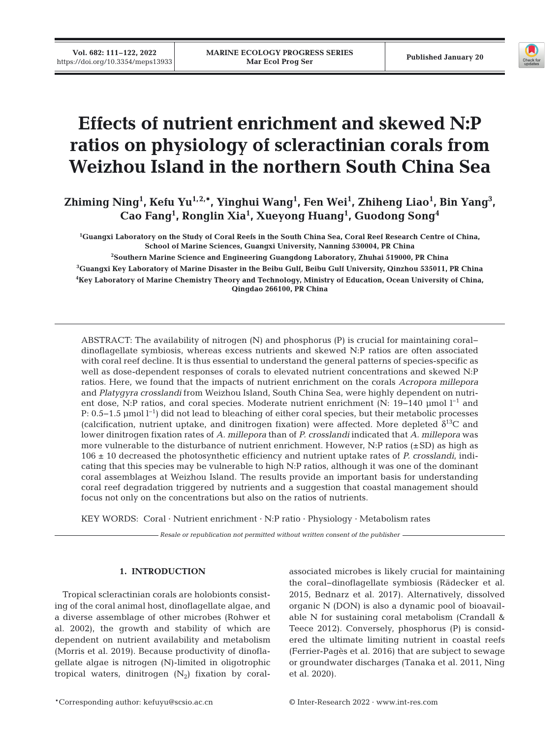

# **Effects of nutrient enrichment and skewed N:P ratios on physiology of scleractinian corals from Weizhou Island in the northern South China Sea**

Zhiming Ning<sup>1</sup>, Kefu Yu<sup>1,2,\*</sup>, Yinghui Wang<sup>1</sup>, Fen Wei<sup>1</sup>, Zhiheng Liao<sup>1</sup>, Bin Yang<sup>3</sup>, **Cao Fang1 , Ronglin Xia1 , Xueyong Huang1 , Guodong Song4**

 **Guangxi Laboratory on the Study of Coral Reefs in the South China Sea, Coral Reef Research Centre of China, School of Marine Sciences, Guangxi University, Nanning 530004, PR China Southern Marine Science and Engineering Guangdong Laboratory, Zhuhai 519000, PR China Guangxi Key Laboratory of Marine Disaster in the Beibu Gulf, Beibu Gulf University, Qinzhou 535011, PR China Key Laboratory of Marine Chemistry Theory and Technology, Ministry of Education, Ocean University of China, Qingdao 266100, PR China**

ABSTRACT: The availability of nitrogen (N) and phosphorus (P) is crucial for maintaining coral− dinoflagellate symbiosis, whereas excess nutrients and skewed N:P ratios are often associated with coral reef decline. It is thus essential to understand the general patterns of species-specific as well as dose-dependent responses of corals to elevated nutrient concentrations and skewed N:P ratios. Here, we found that the impacts of nutrient enrichment on the corals *Acropora millepora* and *Platygyra crosslandi* from Weizhou Island, South China Sea, were highly dependent on nutrient dose, N:P ratios, and coral species. Moderate nutrient enrichment (N: 19−140 μmol l−1 and P: 0.5−1.5 µmol l<sup>−1</sup>) did not lead to bleaching of either coral species, but their metabolic processes (calcification, nutrient uptake, and dinitrogen fixation) were affected. More depleted  $\delta^{13}C$  and lower dinitrogen fixation rates of *A. millepora* than of *P. crosslandi* indicated that *A. millepora* was more vulnerable to the disturbance of nutrient enrichment. However, N:P ratios  $(\pm SD)$  as high as 106 ± 10 decreased the photosynthetic efficiency and nutrient uptake rates of *P. crosslandi*, indicating that this species may be vulnerable to high N:P ratios, although it was one of the dominant coral assemblages at Weizhou Island. The results provide an important basis for understanding coral reef degradation triggered by nutrients and a suggestion that coastal management should focus not only on the concentrations but also on the ratios of nutrients.

KEY WORDS: Coral · Nutrient enrichment · N:P ratio · Physiology · Metabolism rates

*Resale or republication not permitted without written consent of the publisher*

# **1. INTRODUCTION**

Tropical scleractinian corals are holobionts consisting of the coral animal host, dinoflagellate algae, and a diverse assemblage of other microbes (Rohwer et al. 2002), the growth and stability of which are dependent on nutrient availability and metabolism (Morris et al. 2019). Because productivity of dinoflagellate algae is nitrogen (N)-limited in oligotrophic tropical waters, dinitrogen  $(N_2)$  fixation by coralassociated microbes is likely crucial for maintaining the coral−dinoflagellate symbiosis (Rädecker et al. 2015, Bednarz et al. 2017). Alternatively, dissolved organic N (DON) is also a dynamic pool of bioavailable N for sustaining coral metabolism (Crandall & Teece 2012). Conversely, phosphorus (P) is considered the ultimate limiting nutrient in coastal reefs (Ferrier-Pagès et al. 2016) that are subject to sewage or groundwater discharges (Tanaka et al. 2011, Ning et al. 2020).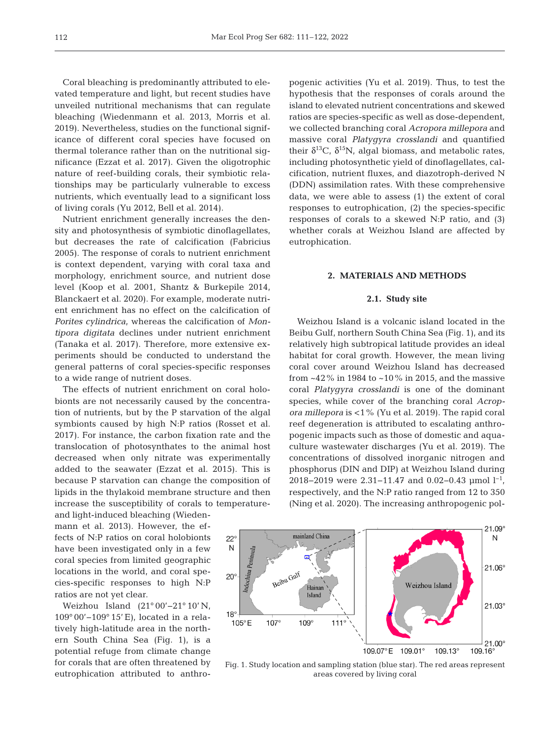Coral bleaching is predominantly attributed to elevated temperature and light, but recent studies have unveiled nutritional mechanisms that can regulate bleaching (Wiedenmann et al. 2013, Morris et al. 2019). Nevertheless, studies on the functional significance of different coral species have focused on thermal tolerance rather than on the nutritional significance (Ezzat et al. 2017). Given the oligotrophic nature of reef-building corals, their symbiotic relationships may be particularly vulnerable to excess nutrients, which eventually lead to a significant loss of living corals (Yu 2012, Bell et al. 2014).

Nutrient enrichment generally increases the density and photosynthesis of symbiotic dinoflagellates, but decreases the rate of calcification (Fabricius 2005). The response of corals to nutrient enrichment is context dependent, varying with coral taxa and morphology, enrichment source, and nutrient dose level (Koop et al. 2001, Shantz & Burkepile 2014, Blanckaert et al. 2020). For example, moderate nutrient enrichment has no effect on the calcification of *Porites cylindrica*, whereas the calcification of *Montipora digitata* declines under nutrient enrichment (Tanaka et al. 2017). Therefore, more extensive ex periments should be conducted to understand the general patterns of coral species-specific responses to a wide range of nutrient doses.

The effects of nutrient enrichment on coral holobionts are not necessarily caused by the concentration of nutrients, but by the P starvation of the algal symbionts caused by high N:P ratios (Rosset et al. 2017). For instance, the carbon fixation rate and the translocation of photosynthates to the animal host decreased when only nitrate was experimentally added to the seawater (Ezzat et al. 2015). This is because P starvation can change the composition of lipids in the thylakoid membrane structure and then increase the susceptibility of corals to temperature-

and light-induced bleaching (Wiedenmann et al. 2013). However, the effects of N:P ratios on coral holobionts have been investigated only in a few coral species from limited geographic locations in the world, and coral species-specific responses to high N:P ratios are not yet clear.

Weizhou Island (21° 00'−21° 10' N, 109° 00'− 109° 15' E), located in a relatively high-latitude area in the northern South China Sea (Fig. 1), is a potential refuge from climate change for corals that are often threatened by eutrophication attributed to anthropogenic activities (Yu et al. 2019). Thus, to test the hypothesis that the responses of corals around the island to elevated nutrient concentrations and skewed ratios are species-specific as well as dose-dependent, we collected branching coral *Acropora millepora* and massive coral *Platygyra crosslandi* and quantified their  $\delta^{13}$ C,  $\delta^{15}$ N, algal biomass, and metabolic rates, including photosynthetic yield of dinoflagellates, calcification, nutrient fluxes, and diazotroph-derived N (DDN) assimilation rates. With these comprehensive data, we were able to assess (1) the extent of coral responses to eutrophication, (2) the species-specific responses of corals to a skewed N:P ratio, and (3) whether corals at Weizhou Island are affected by eutrophication.

#### **2. MATERIALS AND METHODS**

## **2.1. Study site**

Weizhou Island is a volcanic island located in the Beibu Gulf, northern South China Sea (Fig. 1), and its relatively high subtropical latitude provides an ideal habitat for coral growth. However, the mean living coral cover around Weizhou Island has decreased from  $\approx$ 42% in 1984 to  $\approx$ 10% in 2015, and the massive coral *Platygyra crosslandi* is one of the dominant species, while cover of the branching coral *Acropora millepora* is <1% (Yu et al. 2019). The rapid coral reef degeneration is attributed to escalating anthropogenic impacts such as those of domestic and aquaculture wastewater discharges (Yu et al. 2019). The concentrations of dissolved inorganic nitrogen and phosphorus (DIN and DIP) at Weizhou Island during 2018−2019 were 2.31−11.47 and 0.02−0.43 μmol l−1, respectively, and the N:P ratio ranged from 12 to 350 (Ning et al. 2020). The increasing anthropogenic pol-



Fig. 1. Study location and sampling station (blue star). The red areas represent areas covered by living coral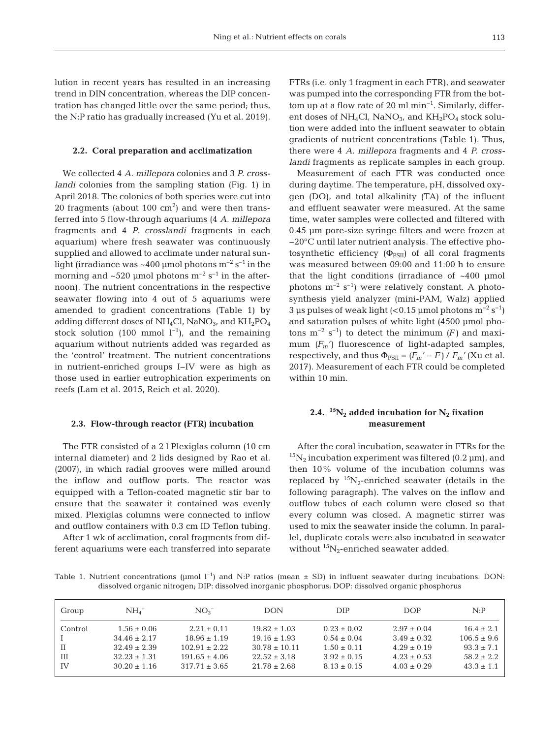lution in recent years has resulted in an increasing trend in DIN concentration, whereas the DIP concentration has changed little over the same period; thus, the N:P ratio has gradually increased (Yu et al. 2019).

#### **2.2. Coral preparation and acclimatization**

We collected 4 *A. millepora* colonies and 3 *P. crosslandi* colonies from the sampling station (Fig. 1) in April 2018. The colonies of both species were cut into 20 fragments (about  $100 \text{ cm}^2$ ) and were then transferred into 5 flow-through aquariums (4 *A. millepora* fragments and 4 *P. crosslandi* fragments in each aquarium) where fresh seawater was continuously supplied and allowed to acclimate under natural sunlight (irradiance was  $\sim$ 400 µmol photons m<sup>-2</sup> s<sup>-1</sup> in the morning and  $\sim$  520 µmol photons m<sup>-2</sup> s<sup>-1</sup> in the afternoon). The nutrient concentrations in the respective seawater flowing into 4 out of 5 aquariums were amended to gradient concentrations (Table 1) by adding different doses of  $NH_4Cl$ , NaNO<sub>3</sub>, and  $KH_2PO_4$ stock solution (100 mmol  $l^{-1}$ ), and the remaining aquarium without nutrients added was regarded as the 'control' treatment. The nutrient concentrations in nutrient-enriched groups I−IV were as high as those used in earlier eutrophication experiments on reefs (Lam et al. 2015, Reich et al. 2020).

## **2.3. Flow-through reactor (FTR) incubation**

The FTR consisted of a 2 l Plexiglas column (10 cm internal diameter) and 2 lids designed by Rao et al. (2007), in which radial grooves were milled around the inflow and outflow ports. The reactor was equipped with a Teflon-coated magnetic stir bar to ensure that the seawater it contained was evenly mixed. Plexiglas columns were connected to inflow and outflow containers with 0.3 cm ID Teflon tubing.

After 1 wk of acclimation, coral fragments from different aquariums were each transferred into separate FTRs (i.e. only 1 fragment in each FTR), and seawater was pumped into the corresponding FTR from the bottom up at a flow rate of 20 ml min−1. Similarly, different doses of  $NH_4Cl$ , NaNO<sub>3</sub>, and  $KH_2PO_4$  stock solution were added into the influent seawater to obtain gradients of nutrient concentrations (Table 1). Thus, there were 4 *A. millepora* fragments and 4 *P. crosslandi* fragments as replicate samples in each group.

Measurement of each FTR was conducted once during daytime. The temperature, pH, dissolved oxygen (DO), and total alkalinity (TA) of the influent and effluent seawater were measured. At the same time, water samples were collected and filtered with 0.45 μm pore-size syringe filters and were frozen at −20°C until later nutrient analysis. The effective photosynthetic efficiency  $(\Phi_{PSII})$  of all coral fragments was measured between 09:00 and 11:00 h to ensure that the light conditions (irradiance of  $~100~$  µmol photons  $m^{-2}$  s<sup>-1</sup>) were relatively constant. A photosynthesis yield analyzer (mini-PAM, Walz) applied 3 μs pulses of weak light  $( $0.15 \mu$ mol photons m<sup>-2</sup> s<sup>-1</sup>)$ and saturation pulses of white light (4500 μmol photons m<sup>-2</sup> s<sup>-1</sup>) to detect the minimum  $(F)$  and maximum  $(F_m)$  fluorescence of light-adapted samples, respectively, and thus  $\Phi_{PSII} = (F_m' - F) / F_m'$  (Xu et al. 2017). Measurement of each FTR could be completed within 10 min.

# **2.4.**  ${}^{15}N_2$  added incubation for  $N_2$  fixation **measurement**

After the coral incubation, seawater in FTRs for the  $15N_2$  incubation experiment was filtered (0.2 µm), and then 10% volume of the incubation columns was replaced by  ${}^{15}N_2$ -enriched seawater (details in the following paragraph). The valves on the inflow and outflow tubes of each column were closed so that every column was closed. A magnetic stirrer was used to mix the seawater inside the column. In parallel, duplicate corals were also incubated in seawater without  ${}^{15}N_2$ -enriched seawater added.

Table 1. Nutrient concentrations (µmol  $l^{-1}$ ) and N:P ratios (mean  $\pm$  SD) in influent seawater during incubations. DON: dissolved organic nitrogen; DIP: dissolved inorganic phosphorus; DOP: dissolved organic phosphorus

| Group   | $NH4$ <sup>+</sup> | NO <sub>3</sub>   | <b>DON</b>        | <b>DIP</b>      | <b>DOP</b>      | N: P            |
|---------|--------------------|-------------------|-------------------|-----------------|-----------------|-----------------|
| Control | $1.56 \pm 0.06$    | $2.21 \pm 0.11$   | $19.82 \pm 1.03$  | $0.23 \pm 0.02$ | $2.97 \pm 0.04$ | $16.4 \pm 2.1$  |
|         | $34.46 \pm 2.17$   | $18.96 \pm 1.19$  | $19.16 \pm 1.93$  | $0.54 \pm 0.04$ | $3.49 \pm 0.32$ | $106.5 \pm 9.6$ |
| Ш       | $32.49 \pm 2.39$   | $102.91 \pm 2.22$ | $30.78 \pm 10.11$ | $1.50 \pm 0.11$ | $4.29 \pm 0.19$ | $93.3 \pm 7.1$  |
| Ш       | $32.23 \pm 1.31$   | $191.65 \pm 4.06$ | $22.52 \pm 3.18$  | $3.92 \pm 0.15$ | $4.23 \pm 0.53$ | $58.2 \pm 2.2$  |
| TV      | $30.20 \pm 1.16$   | $317.71 \pm 3.65$ | $21.78 \pm 2.68$  | $8.13 \pm 0.15$ | $4.03 \pm 0.29$ | $43.3 \pm 1.1$  |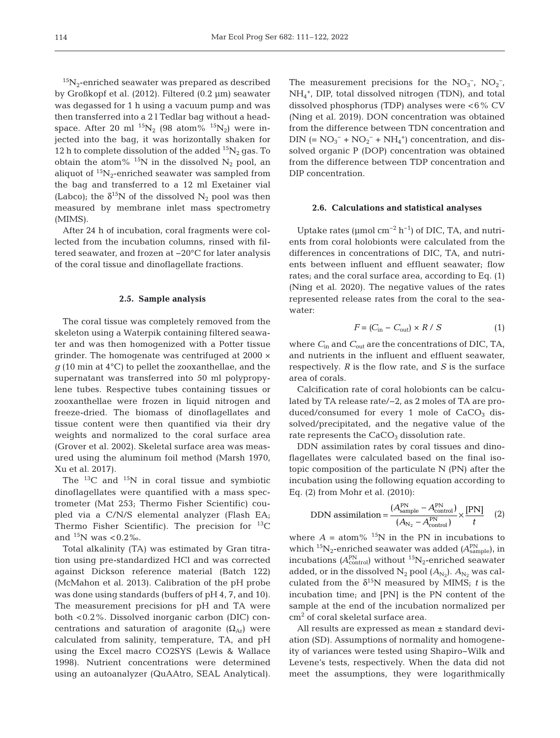$^{15}N_2$ -enriched seawater was prepared as described by Großkopf et al. (2012). Filtered (0.2 μm) seawater was degassed for 1 h using a vacuum pump and was then transferred into a 2 l Tedlar bag without a headspace. After 20 ml  $^{15}N_2$  (98 atom%  $^{15}N_2$ ) were injected into the bag, it was horizontally shaken for 12 h to complete dissolution of the added  ${}^{15}N_2$  gas. To obtain the atom% <sup>15</sup>N in the dissolved  $N_2$  pool, an aliquot of  ${}^{15}N_2$ -enriched seawater was sampled from the bag and transferred to a 12 ml Exetainer vial (Labco); the  $\delta^{15}N$  of the dissolved N<sub>2</sub> pool was then measured by membrane inlet mass spectrometry (MIMS).

After 24 h of incubation, coral fragments were collected from the incubation columns, rinsed with filtered seawater, and frozen at −20°C for later analysis of the coral tissue and dinoflagellate fractions.

#### **2.5. Sample analysis**

The coral tissue was completely removed from the skeleton using a Waterpik containing filtered seawater and was then homogenized with a Potter tissue grinder. The homogenate was centrifuged at 2000 ×  $q$  (10 min at 4 $\degree$ C) to pellet the zooxanthellae, and the supernatant was transferred into 50 ml polypropylene tubes. Respective tubes containing tissues or zooxanthellae were frozen in liquid nitrogen and freeze-dried. The biomass of dinoflagellates and tissue content were then quantified via their dry weights and normalized to the coral surface area (Grover et al. 2002). Skeletal surface area was measured using the aluminum foil method (Marsh 1970, Xu et al. 2017).

The  $^{13}$ C and  $^{15}$ N in coral tissue and symbiotic dinoflagellates were quantified with a mass spectrometer (Mat 253; Thermo Fisher Scientific) coupled via a C/N/S elemental analyzer (Flash EA; Thermo Fisher Scientific). The precision for  ${}^{13}$ C and  $^{15}N$  was <0.2‰.

Total alkalinity (TA) was estimated by Gran titration using pre-standardized HCl and was corrected against Dickson reference material (Batch 122) (McMahon et al. 2013). Calibration of the pH probe was done using standards (buffers of pH 4, 7, and 10). The measurement precisions for pH and TA were both <0.2%. Dissolved inorganic carbon (DIC) concentrations and saturation of aragonite  $(\Omega_{Ar})$  were calculated from salinity, temperature, TA, and pH using the Excel macro CO2SYS (Lewis & Wallace 1998). Nutrient concentrations were determined using an autoanalyzer (QuAAtro, SEAL Analytical). The measurement precisions for the  $NO_3^-$ ,  $NO_2^-$ , NH4 +, DIP, total dissolved nitrogen (TDN), and total dissolved phosphorus (TDP) analyses were <6% CV (Ning et al. 2019). DON concentration was obtained from the difference between TDN concentration and DIN (=  $NO_3^- + NO_2^- + NH_4^+$ ) concentration, and dissolved organic P (DOP) concentration was obtained from the difference between TDP concentration and DIP concentration.

#### **2.6. Calculations and statistical analyses**

Uptake rates ( $\mu$ mol cm<sup>-2</sup> h<sup>-1</sup>) of DIC, TA, and nutrients from coral holobionts were calculated from the differences in concentrations of DIC, TA, and nutrients between influent and effluent seawater; flow rates; and the coral surface area, according to Eq. (1) (Ning et al. 2020). The negative values of the rates represented release rates from the coral to the seawater:

$$
F = (C_{\text{in}} - C_{\text{out}}) \times R / S \tag{1}
$$

where *C*in and *C*out are the concentrations of DIC, TA, and nutrients in the influent and effluent seawater, respectively. *R* is the flow rate, and *S* is the surface area of corals.

Calcification rate of coral holobionts can be calculated by TA release rate/−2, as 2 moles of TA are produced/consumed for every 1 mole of  $CaCO<sub>3</sub>$  dissolved/precipitated, and the negative value of the rate represents the  $CaCO<sub>3</sub>$  dissolution rate.

DDN assimilation rates by coral tissues and dinoflagellates were calculated based on the final isotopic composition of the particulate N (PN) after the incubation using the following equation according to Eq. (2) from Mohr et al. (2010):

DDN assimilation = 
$$
\frac{(A_{\text{sample}}^{\text{PN}} - A_{\text{control}}^{\text{PN}})}{(A_{\text{N}_2} - A_{\text{control}}^{\text{PN}})} \times \frac{[\text{PN}]}{t}
$$
 (2)

where  $A = \text{atom}$ % <sup>15</sup>N in the PN in incubations to which <sup>15</sup>N<sub>2</sub>-enriched seawater was added (A<sup>PN</sup><sub>sample</sub>), in incubations  $(A_{\text{control}}^{\text{PN}})$  without  $^{15}\text{N}_2$ -enriched seawater added, or in the dissolved  $N_2$  pool  $(A_{N_2})$ .  $A_{N_2}$  was calculated from the  $\delta^{15}N$  measured by MIMS; *t* is the incubation time; and [PN] is the PN content of the sample at the end of the incubation normalized per cm2 of coral skeletal surface area.

All results are expressed as mean ± standard deviation (SD). Assumptions of normality and homogeneity of variances were tested using Shapiro−Wilk and Levene's tests, respectively. When the data did not meet the assumptions, they were logarithmically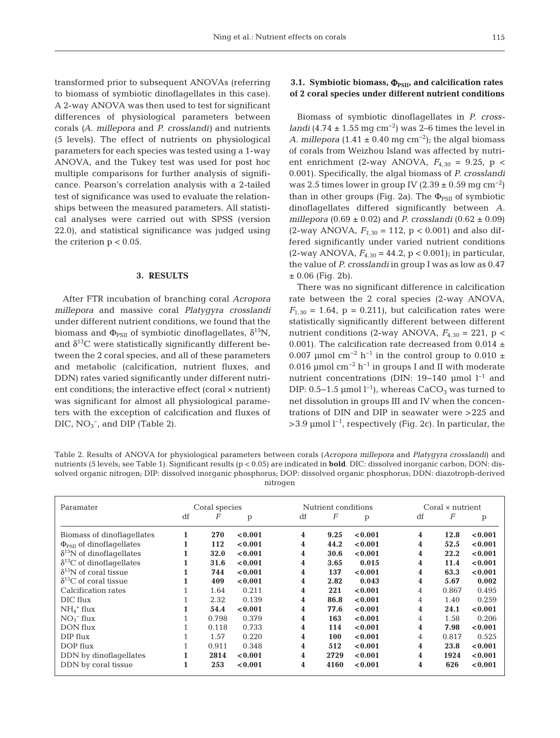transformed prior to subsequent ANOVAs (referring to biomass of symbiotic dinoflagellates in this case). A 2-way ANOVA was then used to test for significant differences of physiological parameters between corals *(A. millepora* and *P. crosslandi)* and nutrients (5 levels). The effect of nutrients on physiological parameters for each species was tested using a 1-way ANOVA, and the Tukey test was used for post hoc multiple comparisons for further analysis of significance. Pearson's correlation analysis with a 2-tailed test of significance was used to evaluate the relationships between the measured parameters. All statistical analyses were carried out with SPSS (version 22.0), and statistical significance was judged using the criterion  $p < 0.05$ .

#### **3. RESULTS**

After FTR incubation of branching coral *Acropora millepora* and massive coral *Platygyra crosslandi* under different nutrient conditions, we found that the biomass and  $\Phi_{PSII}$  of symbiotic dinoflagellates,  $\delta^{15}N$ , and  $\delta^{13}$ C were statistically significantly different between the 2 coral species, and all of these parameters and metabolic (calcification, nutrient fluxes, and DDN) rates varied significantly under different nutrient conditions; the interactive effect (coral × nutrient) was significant for almost all physiological parameters with the exception of calcification and fluxes of  $DIC, NO<sub>3</sub><sup>-</sup>, and DIP (Table 2).$ 

# **3.1. Symbiotic biomass,**  $Φ_{PSII}$ **, and calcification rates of 2 coral species under different nutrient conditions**

Biomass of symbiotic dinoflagellates in *P. crosslandi* (4.74 ± 1.55 mg cm<sup>-2</sup>) was 2–6 times the level in *A. millepora* (1.41  $\pm$  0.40 mg cm<sup>-2</sup>); the algal biomass of corals from Weizhou Island was affected by nutrient enrichment (2-way ANOVA,  $F_{4,30} = 9.25$ , p < 0.001). Specifically, the algal biomass of *P. crosslandi* was 2.5 times lower in group IV (2.39 ± 0.59 mg cm<sup>-2</sup>) than in other groups (Fig. 2a). The  $\Phi_{PSII}$  of symbiotic dinoflagellates differed significantly between *A. millepora* (0.69 ± 0.02) and *P. crosslandi* (0.62 ± 0.09) (2-way ANOVA,  $F_{1,30} = 112$ , p < 0.001) and also differed significantly under varied nutrient conditions (2-way ANOVA, *F*4,30 = 44.2, p < 0.001); in particular, the value of *P. crosslandi* in group I was as low as 0.47  $± 0.06$  (Fig. 2b).

There was no significant difference in calcification rate between the 2 coral species (2-way ANOVA,  $F_{1,30} = 1.64$ ,  $p = 0.211$ , but calcification rates were statistically significantly different between different nutrient conditions (2-way ANOVA,  $F_{4,30} = 221$ , p < 0.001). The calcification rate decreased from 0.014  $\pm$ 0.007 µmol cm<sup>-2</sup> h<sup>-1</sup> in the control group to 0.010 ± 0.016 µmol cm<sup>-2</sup> h<sup>-1</sup> in groups I and II with moderate nutrient concentrations (DIN: 19–140 µmol  $l^{-1}$  and DIP: 0.5–1.5 µmol  $l^{-1}$ ), whereas CaCO<sub>3</sub> was turned to net dissolution in groups III and IV when the concentrations of DIN and DIP in seawater were >225 and  $>3.9$  µmol l<sup>-1</sup>, respectively (Fig. 2c). In particular, the

Table 2. Results of ANOVA for physiological parameters between corals (*Acropora millepora* and *Platygyra crosslandi*) and nutrients (5 levels; see Table 1). Significant results (p < 0.05) are indicated in **bold**. DIC: dissolved inorganic carbon; DON: dissolved organic nitrogen; DIP: dissolved inorganic phosphorus; DOP: dissolved organic phosphorus; DDN: diazotroph-derived nitrogen

| Paramater                          |    | Coral species |         |    | Nutrient conditions |         | Coral $\times$ nutrient |          |         |  |  |
|------------------------------------|----|---------------|---------|----|---------------------|---------|-------------------------|----------|---------|--|--|
|                                    | df | F             | p       | df | F                   | p       | df                      | $\cal F$ | p       |  |  |
| Biomass of dinoflagellates         |    | 270           | < 0.001 | 4  | 9.25                | < 0.001 | 4                       | 12.8     | < 0.001 |  |  |
|                                    |    |               |         | 4  |                     |         |                         | 52.5     | < 0.001 |  |  |
| $\Phi_{PSII}$ of dinoflagellates   |    | 112           | < 0.001 |    | 44.2                | < 0.001 | 4                       |          |         |  |  |
| $\delta^{15}$ N of dinoflagellates |    | 32.0          | < 0.001 | 4  | 30.6                | < 0.001 | 4                       | 22.2     | < 0.001 |  |  |
| $\delta^{13}$ C of dinoflagellates |    | 31.6          | < 0.001 | 4  | 3.65                | 0.015   | 4                       | 11.4     | < 0.001 |  |  |
| $\delta^{15}$ N of coral tissue    |    | 744           | < 0.001 | 4  | 137                 | < 0.001 | 4                       | 63.3     | < 0.001 |  |  |
| $\delta^{13}$ C of coral tissue    |    | 409           | < 0.001 | 4  | 2.82                | 0.043   | 4                       | 5.67     | 0.002   |  |  |
| Calcification rates                |    | 1.64          | 0.211   | 4  | 221                 | < 0.001 | 4                       | 0.867    | 0.495   |  |  |
| DIC flux                           |    | 2.32          | 0.139   | 4  | 86.8                | < 0.001 | 4                       | 1.40     | 0.259   |  |  |
| $NH4+ flux$                        |    | 54.4          | < 0.001 | 4  | 77.6                | < 0.001 | 4                       | 24.1     | < 0.001 |  |  |
| $NO_3^-$ flux                      |    | 0.798         | 0.379   | 4  | 163                 | < 0.001 | 4                       | 1.58     | 0.206   |  |  |
| DON flux                           |    | 0.118         | 0.733   | 4  | 114                 | < 0.001 | 4                       | 7.98     | < 0.001 |  |  |
| DIP flux                           |    | 1.57          | 0.220   | 4  | 100                 | < 0.001 | 4                       | 0.817    | 0.525   |  |  |
| DOP flux                           |    | 0.911         | 0.348   | 4  | 512                 | < 0.001 | 4                       | 23.8     | < 0.001 |  |  |
| DDN by dinoflagellates             |    | 2814          | < 0.001 | 4  | 2729                | < 0.001 | 4                       | 1924     | < 0.001 |  |  |
| DDN by coral tissue                |    | 253           | < 0.001 | 4  | 4160                | < 0.001 | 4                       | 626      | < 0.001 |  |  |
|                                    |    |               |         |    |                     |         |                         |          |         |  |  |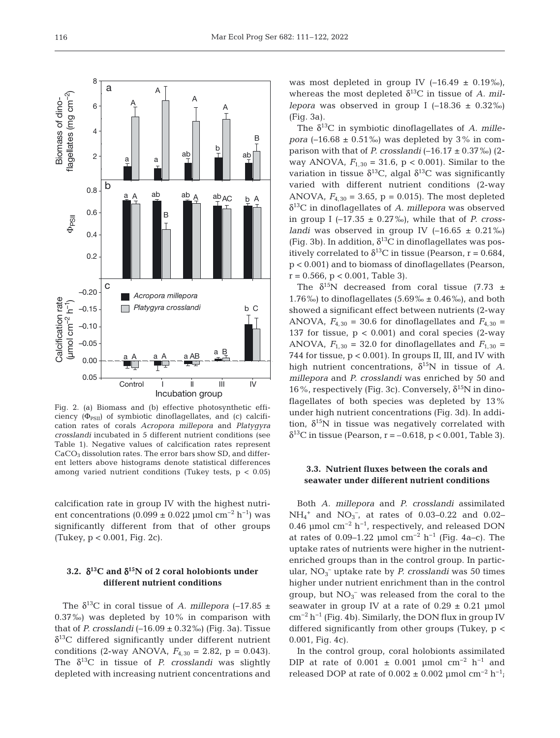

Fig. 2. (a) Biomass and (b) effective photosynthetic efficiency  $(\Phi_{PSII})$  of symbiotic dinoflagellates, and (c) calcification rates of corals *Acropora millepora* and *Platygyra crosslandi* incubated in 5 different nutrient conditions (see Table 1). Negative values of calcification rates represent CaCO<sub>3</sub> dissolution rates. The error bars show SD, and different letters above histograms denote statistical differences among varied nutrient conditions (Tukey tests,  $p < 0.05$ )

calcification rate in group IV with the highest nutrient concentrations (0.099 ± 0.022 µmol cm<sup>-2</sup> h<sup>-1</sup>) was significantly different from that of other groups (Tukey, p < 0.001, Fig. 2c).

# **3.2.** δ**13C and** δ**15N of 2 coral holobionts under different nutrient conditions**

The  $\delta^{13}$ C in coral tissue of *A. millepora* (-17.85 ± 0.37‰) was depleted by 10% in comparison with that of *P. crosslandi*  $(-16.09 \pm 0.32\%)$  (Fig. 3a). Tissue  $\delta^{13}$ C differed significantly under different nutrient conditions (2-way ANOVA,  $F_{4,30} = 2.82$ , p = 0.043). The  $\delta^{13}$ C in tissue of *P. crosslandi* was slightly depleted with increasing nutrient concentrations and was most depleted in group IV  $(-16.49 \pm 0.19\%)$ , whereas the most depleted  $\delta^{13}$ C in tissue of *A. millepora* was observed in group I  $(-18.36 \pm 0.32\%)$ (Fig. 3a).

The  $\delta^{13}$ C in symbiotic dinoflagellates of *A. millepora* ( $-16.68 \pm 0.51\%$ ) was depleted by 3% in comparison with that of *P. crosslandi*  $(-16.17 \pm 0.37\%)$  (2way ANOVA,  $F_{1,30} = 31.6$ ,  $p < 0.001$ ). Similar to the variation in tissue  $\delta^{13}C$ , algal  $\delta^{13}C$  was significantly varied with different nutrient conditions (2-way ANOVA,  $F_{4,30} = 3.65$ ,  $p = 0.015$ ). The most depleted δ13C in dinoflagellates of *A. millepora* was observed in group I  $(-17.35 \pm 0.27\%)$ , while that of *P. crosslandi* was observed in group IV  $(-16.65 \pm 0.21\%)$ (Fig. 3b). In addition,  $\delta^{13}$ C in dinoflagellates was positively correlated to  $\delta^{13}$ C in tissue (Pearson, r = 0.684, p < 0.001) and to biomass of dinoflagellates (Pearson,  $r = 0.566$ ,  $p < 0.001$ , Table 3).

The  $\delta^{15}N$  decreased from coral tissue (7.73  $\pm$ 1.76‰) to dinoflagellates  $(5.69\% \pm 0.46\%)$ , and both showed a significant effect between nutrients (2-way ANOVA,  $F_{4,30}$  = 30.6 for dinoflagellates and  $F_{4,30}$  = 137 for tissue,  $p < 0.001$ ) and coral species (2-way ANOVA,  $F_{1,30}$  = 32.0 for dinoflagellates and  $F_{1,30}$  = 744 for tissue, p < 0.001). In groups II, III, and IV with high nutrient concentrations,  $\delta^{15}N$  in tissue of *A*. *millepora* and *P. crosslandi* was enriched by 50 and 16%, respectively (Fig. 3c). Conversely,  $δ<sup>15</sup>N$  in dinoflagellates of both species was depleted by 13% under high nutrient concentrations (Fig. 3d). In addition,  $\delta^{15}$ N in tissue was negatively correlated with  $\delta^{13}$ C in tissue (Pearson, r = -0.618, p < 0.001, Table 3).

## **3.3. Nutrient fluxes between the corals and seawater under different nutrient conditions**

Both *A. millepora* and *P. crosslandi* assimilated  $NH_4^+$  and  $NO_3^-$ , at rates of 0.03–0.22 and 0.02– 0.46 µmol cm<sup>-2</sup> h<sup>-1</sup>, respectively, and released DON at rates of 0.09–1.22 µmol cm<sup>-2</sup> h<sup>-1</sup> (Fig. 4a–c). The uptake rates of nutrients were higher in the nutrientenriched groups than in the control group. In particular, NO<sub>3</sub><sup>-</sup> uptake rate by *P. crosslandi* was 50 times higher under nutrient enrichment than in the control group, but  $NO_3^-$  was released from the coral to the seawater in group IV at a rate of  $0.29 \pm 0.21$  µmol cm−2 h−1 (Fig. 4b). Similarly, the DON flux in group IV differed significantly from other groups (Tukey, p < 0.001, Fig. 4c).

In the control group, coral holobionts assimilated DIP at rate of  $0.001 \pm 0.001$  µmol cm<sup>-2</sup> h<sup>-1</sup> and released DOP at rate of  $0.002 \pm 0.002$  µmol cm<sup>-2</sup> h<sup>-1</sup>;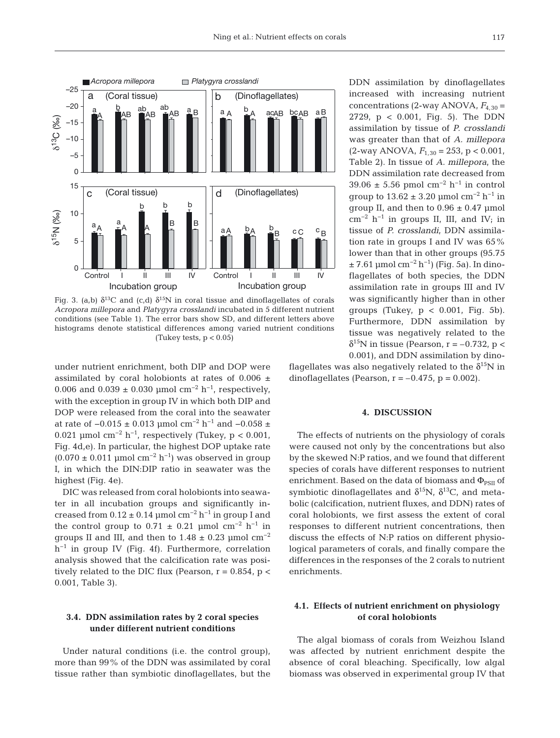

Fig. 3. (a,b)  $\delta^{13}C$  and (c,d)  $\delta^{15}N$  in coral tissue and dinoflagellates of corals *Acropora millepora* and *Platygyra crosslandi* incubated in 5 different nutrient conditions (see Table 1). The error bars show SD, and different letters above histograms denote statistical differences among varied nutrient conditions (Tukey tests,  $p < 0.05$ )

under nutrient enrichment, both DIP and DOP were assimilated by coral holobionts at rates of  $0.006 \pm$ 0.006 and  $0.039 \pm 0.030$  µmol cm<sup>-2</sup> h<sup>-1</sup>, respectively, with the exception in group IV in which both DIP and DOP were released from the coral into the seawater at rate of  $-0.015 \pm 0.013$  µmol cm<sup>-2</sup> h<sup>-1</sup> and  $-0.058 \pm$ 0.021 µmol cm<sup>-2</sup> h<sup>-1</sup>, respectively (Tukey, p < 0.001, Fig. 4d,e). In particular, the highest DOP uptake rate  $(0.070 \pm 0.011 \text{ \mu mol cm}^{-2} \text{ h}^{-1})$  was observed in group I, in which the DIN:DIP ratio in seawater was the highest (Fig. 4e).

DIC was released from coral holobionts into seawater in all incubation groups and significantly in creased from  $0.12 \pm 0.14$  µmol cm<sup>-2</sup> h<sup>-1</sup> in group I and the control group to  $0.71 \pm 0.21$  µmol cm<sup>-2</sup> h<sup>-1</sup> in groups II and III, and then to  $1.48 \pm 0.23$  µmol  $\rm cm^{-2}$ h−1 in group IV (Fig. 4f). Furthermore, correlation analysis showed that the calcification rate was positively related to the DIC flux (Pearson,  $r = 0.854$ ,  $p <$ 0.001, Table 3).

# **3.4. DDN assimilation rates by 2 coral species under different nutrient conditions**

Under natural conditions (i.e. the control group), more than 99% of the DDN was assimilated by coral tissue rather than symbiotic dinoflagellates, but the DDN assimilation by dinoflagellates increased with increasing nutrient concentrations (2-way ANOVA,  $F_{4,30}$  = 2729, p < 0.001, Fig. 5). The DDN assimilation by tissue of *P. crosslandi* was greater than that of *A. millepora* (2-way ANOVA, *F*1,30 = 253, p < 0.001, Table 2). In tissue of *A. millepora*, the DDN assimilation rate decreased from 39.06 ± 5.56 pmol cm<sup>-2</sup> h<sup>-1</sup> in control group to  $13.62 \pm 3.20$  µmol cm<sup>-2</sup> h<sup>-1</sup> in group II, and then to  $0.96 \pm 0.47$  µmol  $cm^{-2}$  h<sup>-1</sup> in groups II, III, and IV; in tissue of *P. crosslandi*, DDN assimilation rate in groups I and IV was 65% lower than that in other groups (95.75  $± 7.61 \mu mol cm^{-2} h^{-1}$  (Fig. 5a). In dinoflagellates of both species, the DDN assimilation rate in groups III and IV was significantly higher than in other groups (Tukey,  $p < 0.001$ , Fig. 5b). Furthermore, DDN assimilation by tissue was negatively related to the  $\delta^{15}$ N in tissue (Pearson, r = -0.732, p < 0.001), and DDN assimilation by dino-

flagellates was also negatively related to the  $\delta^{15}$ N in dinoflagellates (Pearson,  $r = -0.475$ ,  $p = 0.002$ ).

## **4. DISCUSSION**

The effects of nutrients on the physiology of corals were caused not only by the concentrations but also by the skewed N:P ratios, and we found that different species of corals have different responses to nutrient enrichment. Based on the data of biomass and  $\Phi_{PSII}$  of symbiotic dinoflagellates and  $\delta^{15}N$ ,  $\delta^{13}C$ , and metabolic (calcification, nutrient fluxes, and DDN) rates of coral holobionts, we first assess the extent of coral responses to different nutrient concentrations, then discuss the effects of N:P ratios on different physiological parameters of corals, and finally compare the differences in the responses of the 2 corals to nutrient enrichments.

# **4.1. Effects of nutrient enrichment on physiology of coral holobionts**

The algal biomass of corals from Weizhou Island was affected by nutrient enrichment despite the absence of coral bleaching. Specifically, low algal biomass was observed in experimental group IV that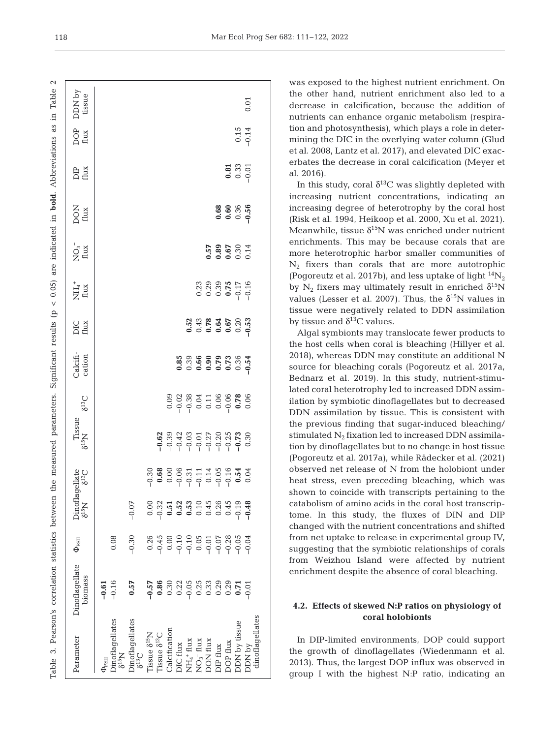Table 3. Pearson's correlation statistics between the measured parameters. Significant results (p < 0.05) are indicated in **bold**. Abbreviations as in Table 2Table  $\overline{a}$ Table 3. Pearson's correlation statistics between the measured parameters. Significant results (p < 0.05) are indicated in **bold.** Abbreviations as

| DDN by<br>tissue                                                            |            |                                      |                        |                                                |                                      |               |                                                                                               |  |                 |                |                                                                                               | 0.01    |                 |
|-----------------------------------------------------------------------------|------------|--------------------------------------|------------------------|------------------------------------------------|--------------------------------------|---------------|-----------------------------------------------------------------------------------------------|--|-----------------|----------------|-----------------------------------------------------------------------------------------------|---------|-----------------|
| DOP<br>flux                                                                 |            |                                      |                        |                                                |                                      |               |                                                                                               |  |                 |                | $0.15$<br>$-0.14$                                                                             |         |                 |
| DIP<br>flux                                                                 |            |                                      |                        |                                                |                                      |               |                                                                                               |  |                 |                | $0.33$<br>0.33<br>0.01                                                                        |         |                 |
| DON<br>flux                                                                 |            |                                      |                        |                                                |                                      |               |                                                                                               |  |                 |                | 88<br>0.60<br>0.50<br>0.9                                                                     |         |                 |
| $\sum_{\text{flux}}$                                                        |            |                                      |                        |                                                |                                      |               |                                                                                               |  |                 |                | 57<br>689<br>689<br>6814<br>6814                                                              |         |                 |
| $\overleftrightarrow{\text{HH}}_{4}^{+}$                                    |            |                                      |                        |                                                |                                      |               |                                                                                               |  |                 |                | $\begin{array}{c}\n 0.23 \\  0.33 \\  0.5 \\  0.5 \\  0.5 \\  0.1 \\  0.1 \\  0\n\end{array}$ |         |                 |
| DIC<br>flux                                                                 |            |                                      |                        |                                                |                                      |               |                                                                                               |  |                 |                |                                                                                               |         |                 |
| Calcifi-<br>cation                                                          |            |                                      |                        |                                                |                                      |               |                                                                                               |  |                 |                |                                                                                               |         |                 |
| $5^{13}C$                                                                   |            |                                      |                        |                                                |                                      |               |                                                                                               |  |                 |                |                                                                                               |         |                 |
| $\begin{array}{c} \mathrm{Tissue} \\ \mathrm{S}^{15}\mathrm{N} \end{array}$ |            |                                      |                        |                                                |                                      |               | $289.323$<br>$-0.333$<br>$-0.333$<br>$-0.333$<br>$-0.333$<br>$-0.333$<br>$-0.333$<br>$-0.333$ |  |                 |                |                                                                                               |         |                 |
| lagellate<br>$\delta^{13}C$                                                 |            |                                      |                        |                                                |                                      |               |                                                                                               |  |                 |                |                                                                                               |         |                 |
| Dinof<br>8 <sup>15</sup> N                                                  |            |                                      | $-0.07$                | 0.00                                           | 0.32                                 |               | $0.51$<br>$0.53$<br>$0.10$<br>$0.45$<br>$0.26$<br>$0.45$                                      |  |                 |                | $-0.19$                                                                                       | $-0.48$ |                 |
| $\Phi_{\rm PSII}$                                                           |            | 0.08                                 | $-0.30$                |                                                |                                      |               |                                                                                               |  |                 |                |                                                                                               |         |                 |
| Dinoflagellate<br>biomass                                                   | $-0.61$    | $-0.16$                              | 0.57                   | $-0.57$                                        | 0.86                                 |               | $0.3085$<br>$0.205$<br>$0.308$<br>$0.308$<br>$0.308$                                          |  |                 | 0.29           | 0.71                                                                                          | $-0.01$ |                 |
| Parameter                                                                   | $P_{PSII}$ | )inoflagellates<br>δ <sup>15</sup> N | <b>Jinoflagellates</b> | $\delta^{13}C$ $\widetilde{C}$ $\widetilde{C}$ | $\text{Tissue } \delta^{13}\text{C}$ | Calcification | DIC flux<br>NH <sub>4</sub> + flux<br>NO <sub>3</sub> - flux<br>DON flux                      |  | <b>DIP</b> flux | <b>OP flux</b> | <b>DDN</b> by tissue                                                                          | Aq NOC  | dinoflagellates |

was exposed to the highest nutrient enrichment. On the other hand, nutrient enrichment also led to a decrease in calcification, because the addition of nutrients can enhance organic metabolism (respiration and photosynthesis), which plays a role in determining the DIC in the overlying water column (Glud et al. 2008, Lantz et al. 2017), and elevated DIC exacerbates the decrease in coral calcification (Meyer et al. 2016).

In this study, coral  $\delta^{13}$ C was slightly depleted with increasing nutrient concentrations, indicating an increasing degree of heterotrophy by the coral host (Risk et al. 1994, Heikoop et al. 2000, Xu et al. 2021). Meanwhile, tissue  $\delta^{15}N$  was enriched under nutrient enrichments. This may be because corals that are more heterotrophic harbor smaller communities of N2 fixers than corals that are more autotrophic (Pogoreutz et al. 2017b), and less uptake of light  $^{14}N_2$ by N<sub>2</sub> fixers may ultimately result in enriched  $\delta^{15}N$ values (Lesser et al. 2007). Thus, the  $\delta^{15}N$  values in tissue were negatively related to DDN assimilation by tissue and  $\delta^{13}$ C values.

Algal symbionts may translocate fewer products to the host cells when coral is bleaching (Hillyer et al. 2018), whereas DDN may constitute an additional N source for bleaching corals (Pogoreutz et al. 2017a, Bednarz et al. 2019). In this study, nutrient-stimulated coral heterotrophy led to increased DDN assimilation by symbiotic dinoflagellates but to decreased DDN assimilation by tissue. This is consistent with the previous finding that sugar-induced bleaching/ stimulated  $N_2$  fixation led to increased DDN assimilation by dinoflagellates but to no change in host tissue (Pogoreutz et al. 2017a), while Rädecker et al. (2021) observed net release of N from the holobiont under heat stress, even preceding bleaching, which was shown to coincide with transcripts pertaining to the catabolism of amino acids in the coral host transcriptome. In this study, the fluxes of DIN and DIP changed with the nutrient concentrations and shifted from net uptake to release in experimental group IV, suggesting that the symbiotic relationships of corals from Weizhou Island were affected by nutrient enrichment despite the absence of coral bleaching.

# **4.2. Effects of skewed N:P ratios on physiology of coral holobionts**

In DIP-limited environments, DOP could support the growth of dinoflagellates (Wiedenmann et al. 2013). Thus, the largest DOP influx was observed in group I with the highest N:P ratio, indicating an

 $\sim$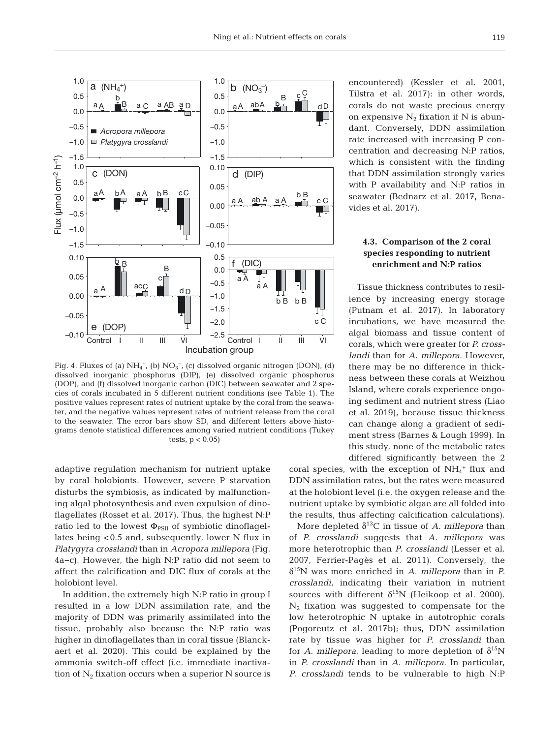

Fig. 4. Fluxes of (a)  $NH_4^+$ , (b)  $NO_3^-$ , (c) dissolved organic nitrogen (DON), (d) dissolved inorganic phosphorus (DIP), (e) dissolved organic phosphorus (DOP), and (f) dissolved inorganic carbon (DIC) between seawater and 2 species of corals incubated in 5 different nutrient conditions (see Table 1). The positive values represent rates of nutrient uptake by the coral from the seawater, and the negative values represent rates of nutrient release from the coral to the seawater. The error bars show SD, and different letters above histograms denote statistical differences among varied nutrient conditions (Tukey tests,  $p < 0.05$ 

adaptive regulation mechanism for nutrient uptake by coral holobionts. However, severe P starvation disturbs the symbiosis, as indicated by malfunctioning algal photosynthesis and even expulsion of dinoflagellates (Rosset et al. 2017). Thus, the highest N:P ratio led to the lowest  $\Phi_{PSII}$  of symbiotic dinoflagellates being <0.5 and, subsequently, lower N flux in *Platygyra crosslandi* than in *Acropora millepora* (Fig. 4a−c). However, the high N:P ratio did not seem to affect the calcification and DIC flux of corals at the holobiont level.

In addition, the extremely high N:P ratio in group I resulted in a low DDN assimilation rate, and the majority of DDN was primarily assimilated into the tissue, probably also because the N:P ratio was higher in dinoflagellates than in coral tissue (Blanckaert et al. 2020). This could be explained by the ammonia switch-off effect (i.e. immediate inactivation of  $N_2$  fixation occurs when a superior N source is encountered) (Kessler et al. 2001, Tilstra et al. 2017): in other words, corals do not waste precious energy on expensive  $N_2$  fixation if N is abundant. Conversely, DDN assimilation rate increased with increasing P concentration and decreasing N:P ratios, which is consistent with the finding that DDN assimilation strongly varies with P availability and N:P ratios in seawater (Bednarz et al. 2017, Benavides et al. 2017).

# **4.3. Comparison of the 2 coral species responding to nutrient enrichment and N:P ratios**

Tissue thickness contributes to resilience by increasing energy storage (Putnam et al. 2017). In laboratory incubations, we have measured the algal biomass and tissue content of corals, which were greater for *P. crosslandi* than for *A. millepora*. However, there may be no difference in thickness between these corals at Weizhou Island, where corals experience ongoing sediment and nutrient stress (Liao et al. 2019), because tissue thickness can change along a gradient of sediment stress (Barnes & Lough 1999). In this study, none of the metabolic rates differed significantly between the 2

coral species, with the exception of  $NH_4^+$  flux and DDN assimilation rates, but the rates were measured at the holobiont level (i.e. the oxygen release and the nutrient uptake by symbiotic algae are all folded into the results, thus affecting calcification calculations).

More depleted  $\delta^{13}$ C in tissue of *A. millepora* than of *P. crosslandi* suggests that *A. millepora* was more heterotrophic than *P. crosslandi* (Lesser et al. 2007, Ferrier-Pagès et al. 2011). Conversely, the δ15N was more enriched in *A. millepora* than in *P. crosslandi*, indicating their variation in nutrient sources with different  $\delta^{15}N$  (Heikoop et al. 2000).  $N_2$  fixation was suggested to compensate for the low heterotrophic N uptake in autotrophic corals (Pogoreutz et al. 2017b); thus, DDN assimilation rate by tissue was higher for *P. crosslandi* than for *A. millepora*, leading to more depletion of  $\delta^{15}N$ in *P. crosslandi* than in *A. millepora*. In particular, *P. crosslandi* tends to be vulnerable to high N:P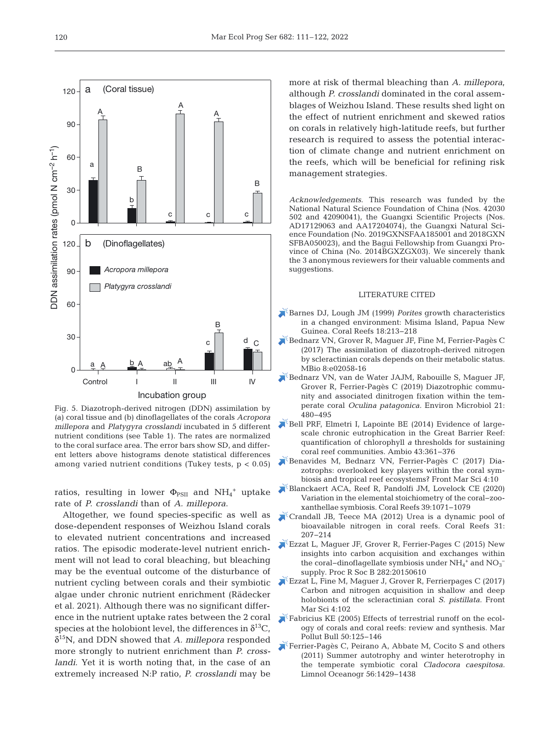

Fig. 5. Diazotroph-derived nitrogen (DDN) assimilation by (a) coral tissue and (b) dinoflagellates of the corals *Acropora millepora* and *Platygyra crosslandi* incubated in 5 different nutrient conditions (see Table 1). The rates are normalized to the coral surface area. The error bars show SD, and different letters above histograms denote statistical differences among varied nutrient conditions (Tukey tests,  $p < 0.05$ )

ratios, resulting in lower  $\Phi_{PSII}$  and  $NH_4^+$  uptake rate of *P. crosslandi* than of *A. millepora*.

Altogether, we found species-specific as well as dose-dependent responses of Weizhou Island corals to elevated nutrient concentrations and increased ratios. The episodic moderate-level nutrient enrichment will not lead to coral bleaching, but bleaching may be the eventual outcome of the disturbance of nutrient cycling between corals and their symbiotic algae under chronic nutrient enrichment (Rädecker et al. 2021). Although there was no significant difference in the nutrient uptake rates between the 2 coral species at the holobiont level, the differences in  $\delta^{13}C$ , δ15N, and DDN showed that *A. millepora* responded more strongly to nutrient enrichment than *P. crosslandi*. Yet it is worth noting that, in the case of an extremely increased N:P ratio, *P. crosslandi* may be

more at risk of thermal bleaching than *A. millepora*, although *P. crosslandi* dominated in the coral assemblages of Weizhou Island. These results shed light on the effect of nutrient enrichment and skewed ratios on corals in relatively high-latitude reefs, but further research is required to assess the potential interaction of climate change and nutrient enrichment on the reefs, which will be beneficial for refining risk management strategies.

*Acknowledgements*. This research was funded by the National Natural Science Foundation of China (Nos. 42030 502 and 42090041), the Guangxi Scientific Projects (Nos. AD17129063 and AA17204074), the Guangxi Natural Science Foundation (No. 2019GXNSFAA185001 and 2018GXN SFBA050023), and the Bagui Fellowship from Guangxi Province of China (No. 2014BGXZGX03). We sincerely thank the 3 anonymous reviewers for their valuable comments and suggestions.

#### LITERATURE CITED

- [Barnes DJ, Lough JM \(1999\)](https://doi.org/10.1007/s003380050185) *Porites* growth characteristics in a changed environment: Misima Island, Papua New Guinea. Coral Reefs 18:213-218
- [Bednarz VN, Grover R, Maguer JF, Fine M, Ferrier-Pagès C](https://doi.org/10.1128/mBio.02058-16) (2017) The assimilation of diazotroph-derived nitrogen by scleractinian corals depends on their metabolic status. MBio 8:e02058-16
- [Bednarz VN, van de Water JAJM, Rabouille S, Maguer JF,](https://doi.org/10.1111/1462-2920.14480) Grover R, Ferrier-Pagès C (2019) Diazotrophic community and associated dinitrogen fixation within the temperate coral *Oculina patagonica.* Environ Microbiol 21: 480−495
- [Bell PRF, Elmetri I, Lapointe BE \(2014\) Evidence of large](https://doi.org/10.1007/s13280-013-0443-1)scale chronic eutrophication in the Great Barrier Reef: quantification of chlorophyll *a* thresholds for sustaining coral reef communities. Ambio 43: 361−376
- [Benavides M, Bednarz VN, Ferrier-Pagès C \(2017\) Dia](https://doi.org/10.3389/fmars.2017.00010)zotrophs: overlooked key players within the coral symbiosis and tropical reef ecosystems? Front Mar Sci 4: 10
- [Blanckaert ACA, Reef R, Pandolfi JM, Lovelock CE \(2020\)](https://doi.org/10.1007/s00338-020-01932-8) Variation in the elemental stoichiometry of the coral−zooxanthellae symbiosis. Coral Reefs 39: 1071−1079
- [Crandall JB, Teece MA \(2012\) Urea is a dynamic pool of](https://doi.org/10.1007/s00338-011-0836-1) bioavailable nitrogen in coral reefs. Coral Reefs 31: 207−214
- [Ezzat L, Maguer JF, Grover R, Ferrier-Pages C \(2015\) New](https://doi.org/10.1098/rspb.2015.0610) insights into carbon acquisition and exchanges within the coral–dinoflagellate symbiosis under  $\mathrm{NH}_4{}^+$  and  $\mathrm{NO_3}^$ supply. Proc R Soc B 282:20150610
- [Ezzat L, Fine M, Maguer J, Grover R, Ferrierpages C \(2017\)](https://doi.org/10.3389/fmars.2017.00102) Carbon and nitrogen acquisition in shallow and deep holobionts of the scleractinian coral *S. pistillata.* Front Mar Sci 4: 102
- [Fabricius KE \(2005\) Effects of terrestrial runoff on the ecol](https://doi.org/10.1016/j.marpolbul.2004.11.028)ogy of corals and coral reefs: review and synthesis. Mar Pollut Bull 50: 125−146
- [Ferrier-Pagès C, Peirano A, Abbate M, Cocito S and others](https://doi.org/10.4319/lo.2011.56.4.1429) (2011) Summer autotrophy and winter heterotrophy in the temperate symbiotic coral *Cladocora caespitosa.* Limnol Oceanogr 56: 1429−1438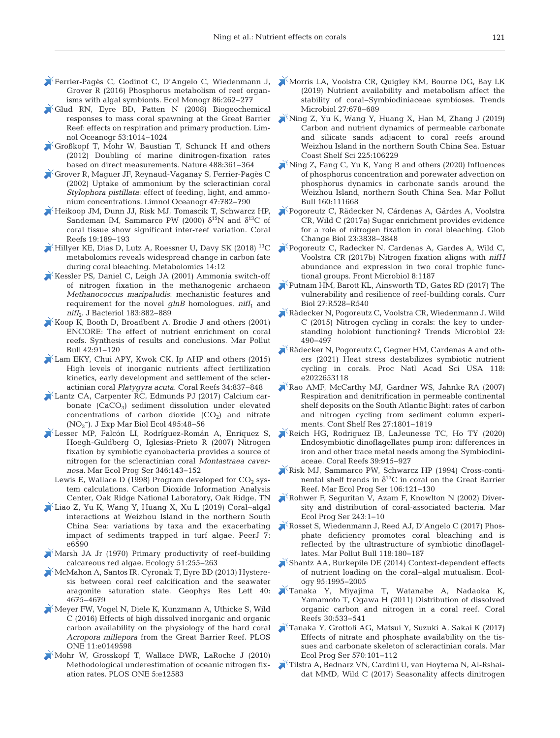- Grover R (2016) Phosphorus metabolism of reef organisms with algal symbionts. Ecol Monogr 86:262-277
- [Glud RN, Eyre BD, Patten N \(2008\) Biogeochemical](https://doi.org/10.4319/lo.2008.53.3.1014) responses to mass coral spawning at the Great Barrier Reef: effects on respiration and primary production. Limnol Oceanogr 53: 1014−1024
- [Großkopf T, Mohr W, Baustian T, Schunck H and others](https://doi.org/10.1038/nature11338) (2012) Doubling of marine dinitrogen-fixation rates based on direct measurements. Nature 488: 361−364
- [Grover R, Maguer JF, Reynaud-Vaganay S, Ferrier-Pagès C](https://doi.org/10.4319/lo.2002.47.3.0782) (2002) Uptake of ammonium by the scleractinian coral *Stylophora pistillata*: effect of feeding, light, and ammonium concentrations. Limnol Oceanogr 47:782-790
- [Heikoop JM, Dunn JJ, Risk MJ, Tomascik T, Schwarcz HP,](https://doi.org/10.1007/s003380000092) Sandeman IM, Sammarco PW (2000)  $\delta^{15}N$  and  $\delta^{13}C$  of coral tissue show significant inter-reef variation. Coral Reefs 19: 189−193
- $\blacktriangleright$  [Hillyer KE, Dias D, Lutz A, Roessner U, Davy SK \(2018\)](https://doi.org/10.1007/s11306-017-1306-8) <sup>13</sup>C metabolomics reveals widespread change in carbon fate during coral bleaching. Metabolomics 14:12
- [Kessler PS, Daniel C, Leigh JA \(2001\) Ammonia switch-off](https://doi.org/10.1128/JB.183.3.882-889.2001) of nitrogen fixation in the methanogenic archaeon *Methanococcus maripaludis*: mechanistic features and requirement for the novel *glnB* homologues, *nifI*<sub>1</sub> and *nifI*<sub>2</sub>. J Bacteriol 183:882-889
- $\blacktriangleright$  [Koop K, Booth D, Broadbent A, Brodie J and others \(2001\)](https://doi.org/10.1016/S0025-326X(00)00181-8) ENCORE: The effect of nutrient enrichment on coral reefs. Synthesis of results and conclusions. Mar Pollut Bull 42:91-120
- [Lam EKY, Chui APY, Kwok CK, Ip AHP and others \(2015\)](https://doi.org/10.1007/s00338-015-1317-8) High levels of inorganic nutrients affect fertilization kinetics, early development and settlement of the scleractinian coral *Platygyra acuta.* Coral Reefs 34: 837−848
- [Lantz CA, Carpenter RC, Edmunds PJ \(2017\) Calcium car](https://doi.org/10.1016/j.jembe.2017.05.014)bonate  $(CaCO<sub>3</sub>)$  sediment dissolution under elevated concentrations of carbon dioxide  $(CO<sub>2</sub>)$  and nitrate (NO3 −). J Exp Mar Biol Ecol 495: 48−56
- [Lesser MP, Falcón LI, Rodríguez-Román A, Enríquez S,](https://doi.org/10.3354/meps07008) Hoegh-Guldberg O, Iglesias-Prieto R (2007) Nitrogen fixation by symbiotic cyanobacteria provides a source of nitrogen for the scleractinian coral *Montastraea cavernosa.* Mar Ecol Prog Ser 346: 143−152
	- Lewis E, Wallace D (1998) Program developed for  $CO<sub>2</sub>$  system calculations. Carbon Dioxide Information Analysis Center, Oak Ridge National Laboratory, Oak Ridge, TN
- [Liao Z, Yu K, Wang Y, Huang X, Xu L \(2019\) Coral−algal](https://doi.org/10.7717/peerj.6590) interactions at Weizhou Island in the northern South China Sea: variations by taxa and the exacerbating impact of sediments trapped in turf algae. PeerJ 7: e6590
- $\mathbb{X}$  [Marsh JA Jr \(1970\) Primary productivity of reef-building](https://doi.org/10.2307/1933661) calcareous red algae. Ecology 51: 255−263
- [McMahon A, Santos IR, Cyronak T, Eyre BD \(2013\) Hystere](https://doi.org/10.1002/grl.50802)sis between coral reef calcification and the seawater aragonite saturation state. Geophys Res Lett 40: 4675−4679
- [Meyer FW, Vogel N, Diele K, Kunzmann A, Uthicke S, Wild](https://doi.org/10.1371/journal.pone.0149598) C (2016) Effects of high dissolved inorganic and organic carbon availability on the physiology of the hard coral *Acropora millepora* from the Great Barrier Reef. PLOS ONE 11:e0149598
- [Mohr W, Grosskopf T, Wallace DWR, LaRoche J \(2010\)](https://doi.org/10.1371/journal.pone.0012583) Methodological underestimation of oceanic nitrogen fixation rates. PLOS ONE 5:e12583
- [Ferrier-Pagès C, Godinot C, D'Angelo C, Wiedenmann J,](https://doi.org/10.1002/ecm.1217) [Morris LA, Voolstra CR, Quigley KM, Bourne DG, Bay LK](https://doi.org/10.1016/j.tim.2019.03.004) (2019) Nutrient availability and metabolism affect the stability of coral−Symbiodiniaceae symbioses. Trends Microbiol 27:678-689
	- [Ning Z, Yu K, Wang Y, Huang X, Han M, Zhang J \(2019\)](https://doi.org/10.1016/j.ecss.2019.05.011) Carbon and nutrient dynamics of permeable carbonate and silicate sands adjacent to coral reefs around Weizhou Island in the northern South China Sea. Estuar Coast Shelf Sci 225: 106229
	- [Ning Z, Fang C, Yu K, Yang B and others \(2020\) Influences](https://doi.org/10.1016/j.marpolbul.2020.111668) of phosphorus concentration and porewater advection on phosphorus dynamics in carbonate sands around the Weizhou Island, northern South China Sea. Mar Pollut Bull 160: 111668
	- [Pogoreutz C, Rädecker N, Cárdenas A, Gärdes A, Voolstra](https://doi.org/10.1111/gcb.13695) CR, Wild C (2017a) Sugar enrichment provides evidence for a role of nitrogen fixation in coral bleaching. Glob Change Biol 23: 3838−3848
	- [Pogoreutz C, Radecker N, Cardenas A, Gardes A, Wild C,](https://doi.org/10.3389/fmicb.2017.01187) Voolstra CR (2017b) Nitrogen fixation aligns with *nifH* abundance and expression in two coral trophic functional groups. Front Microbiol 8:1187
	- [Putnam HM, Barott KL, Ainsworth TD, Gates RD \(2017\) The](https://doi.org/10.1016/j.cub.2017.04.047) vulnerability and resilience of reef-building corals. Curr Biol 27: R528−R540
	- [Rädecker N, Pogoreutz C, Voolstra CR, Wiedenmann J, Wild](https://doi.org/10.1016/j.tim.2015.03.008)  $C$  (2015) Nitrogen cycling in corals: the key to understanding holobiont functioning? Trends Microbiol 23: 490−497
	- [Rädecker N, Pogoreutz C, Gegner HM, Cardenas A and oth](https://doi.org/10.1073/pnas.2022653118)ers (2021) Heat stress destabilizes symbiotic nutrient cycling in corals. Proc Natl Acad Sci USA 118: e2022653118
	- [Rao AMF, McCarthy MJ, Gardner WS, Jahnke RA \(2007\)](https://doi.org/10.1016/j.csr.2007.03.001) Respiration and denitrification in permeable continental shelf deposits on the South Atlantic Bight: rates of carbon and nitrogen cycling from sediment column experiments. Cont Shelf Res 27: 1801−1819
	- [Reich HG, Rodriguez IB, LaJeunesse TC, Ho TY \(2020\)](https://doi.org/10.1007/s00338-020-01911-z) Endosymbiotic dinoflagellates pump iron: differences in iron and other trace metal needs among the Symbiodiniaceae. Coral Reefs 39: 915−927
	- [Risk MJ, Sammarco PW, Schwarcz HP \(1994\) Cross-conti](https://doi.org/10.3354/meps106121)nental shelf trends in  $\delta^{13}$ C in coral on the Great Barrier Reef. Mar Ecol Prog Ser 106: 121−130
	- [Rohwer F, Seguritan V, Azam F, Knowlton N \(2002\) Diver](https://doi.org/10.3354/meps243001)sity and distribution of coral-associated bacteria. Mar Ecol Prog Ser 243: 1−10
	- [Rosset S, Wiedenmann J, Reed AJ, D'Angelo C \(2017\) Phos](https://doi.org/10.1016/j.marpolbul.2017.02.044)phate deficiency promotes coral bleaching and is reflected by the ultrastructure of symbiotic dinoflagellates. Mar Pollut Bull 118: 180−187
	- [Shantz AA, Burkepile DE \(2014\) Context-dependent effects](https://doi.org/10.1890/13-1407.1) of nutrient loading on the coral−algal mutualism. Ecology 95: 1995−2005
	- [Tanaka Y, Miyajima T, Watanabe A, Nadaoka K,](https://doi.org/10.1007/s00338-011-0735-5) Yamamoto T, Ogawa H (2011) Distribution of dissolved organic carbon and nitrogen in a coral reef. Coral Reefs 30:533–541
	- [Tanaka Y, Grottoli AG, Matsui Y, Suzuki A, Sakai K \(2017\)](https://doi.org/10.3354/meps12079) Effects of nitrate and phosphate availability on the tissues and carbonate skeleton of scleractinian corals. Mar Ecol Prog Ser 570: 101−112
	- [Tilstra A, Bednarz VN, Cardini U, van Hoytema N, Al-Rshai](https://doi.org/10.3354/meps12206)dat MMD, Wild C (2017) Seasonality affects dinitrogen